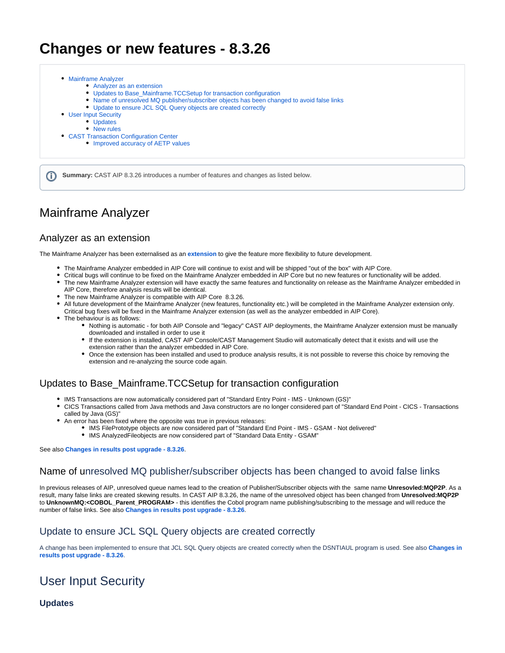# **Changes or new features - 8.3.26**

| • Analyzer as an extension                                                                 |
|--------------------------------------------------------------------------------------------|
| • Updates to Base Mainframe. TCCSetup for transaction configuration                        |
| • Name of unresolved MQ publisher/subscriber objects has been changed to avoid false links |
| • Update to ensure JCL SQL Query objects are created correctly                             |
| • User Input Security                                                                      |
| • Updates                                                                                  |
| • New rules                                                                                |
| • CAST Transaction Configuration Center                                                    |
| • Improved accuracy of AETP values                                                         |

**Summary:** CAST AIP 8.3.26 introduces a number of features and changes as listed below.G)

### <span id="page-0-0"></span>Mainframe Analyzer

#### <span id="page-0-1"></span>Analyzer as an extension

The Mainframe Analyzer has been externalised as an **[extension](https://doc.castsoftware.com/display/TECHNOS/Mainframe+Analyzer)** to give the feature more flexibility to future development.

- The Mainframe Analyzer embedded in AIP Core will continue to exist and will be shipped "out of the box" with AIP Core.
- Critical bugs will continue to be fixed on the Mainframe Analyzer embedded in AIP Core but no new features or functionality will be added.
- The new Mainframe Analyzer extension will have exactly the same features and functionality on release as the Mainframe Analyzer embedded in AIP Core, therefore analysis results will be identical.
- The new Mainframe Analyzer is compatible with AIP Core 8.3.26.
- All future development of the Mainframe Analyzer (new features, functionality etc.) will be completed in the Mainframe Analyzer extension only. Critical bug fixes will be fixed in the Mainframe Analyzer extension (as well as the analyzer embedded in AIP Core).
- The behaviour is as follows:
	- Nothing is automatic for both AIP Console and "legacy" CAST AIP deployments, the Mainframe Analyzer extension must be manually downloaded and installed in order to use it
	- If the extension is installed, CAST AIP Console/CAST Management Studio will automatically detect that it exists and will use the extension rather than the analyzer embedded in AIP Core.
	- Once the extension has been installed and used to produce analysis results, it is not possible to reverse this choice by removing the extension and re-analyzing the source code again.

#### <span id="page-0-2"></span>Updates to Base\_Mainframe.TCCSetup for transaction configuration

- IMS Transactions are now automatically considered part of "Standard Entry Point IMS Unknown (GS)"
- CICS Transactions called from Java methods and Java constructors are no longer considered part of "Standard End Point CICS Transactions called by Java (GS)"
- An error has been fixed where the opposite was true in previous releases:
	- IMS FilePrototype objects are now considered part of "Standard End Point IMS GSAM Not delivered" IMS AnalyzedFileobjects are now considered part of "Standard Data Entity - GSAM"

See also **[Changes in results post upgrade - 8.3.26](https://doc.castsoftware.com/display/DOC83/Changes+in+results+post+upgrade+-+8.3.26)**.

#### <span id="page-0-3"></span>Name of unresolved MQ publisher/subscriber objects has been changed to avoid false links

In previous releases of AIP, unresolved queue names lead to the creation of Publisher/Subscriber objects with the same name **Unresovled:MQP2P**. As a result, many false links are created skewing results. In CAST AIP 8.3.26, the name of the unresolved object has been changed from **Unresolved:MQP2P** to **UnknownMQ:<COBOL\_Parent\_PROGRAM>** - this identifies the Cobol program name publishing/subscribing to the message and will reduce the number of false links. See also **[Changes in results post upgrade - 8.3.26](https://doc.castsoftware.com/display/DOC83/Changes+in+results+post+upgrade+-+8.3.26)**.

#### <span id="page-0-4"></span>Update to ensure JCL SQL Query objects are created correctly

A change has been implemented to ensure that JCL SQL Query objects are created correctly when the DSNTIAUL program is used. See also **[Changes in](https://doc.castsoftware.com/display/DOC83/Changes+in+results+post+upgrade+-+8.3.26)  [results post upgrade - 8.3.26](https://doc.castsoftware.com/display/DOC83/Changes+in+results+post+upgrade+-+8.3.26)**.

## <span id="page-0-5"></span>User Input Security

<span id="page-0-6"></span>**Updates**